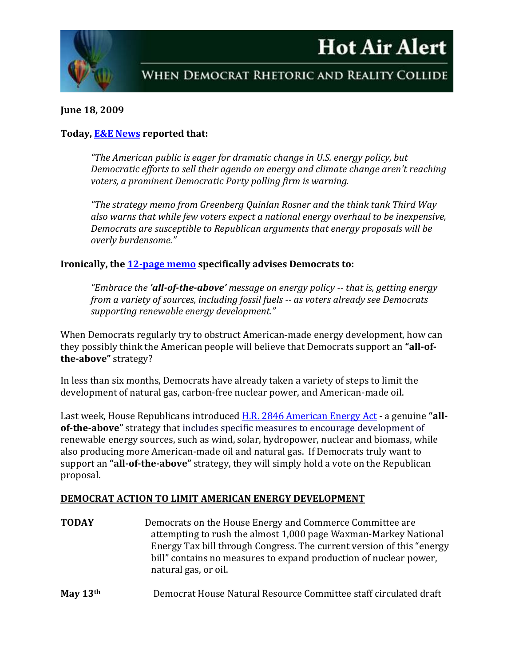# **Hot Air Alert**



WHEN DEMOCRAT RHETORIC AND REALITY COLLIDE

## **June 18, 2009**

## **Today, [E&E News](http://www.eenews.net/Greenwire/2009/06/18/4/) reported that:**

*"The American public is eager for dramatic change in U.S. energy policy, but Democratic efforts to sell their agenda on energy and climate change aren't reaching voters, a prominent Democratic Party polling firm is warning.*

*"The strategy memo from Greenberg Quinlan Rosner and the think tank Third Way also warns that while few voters expect a national energy overhaul to be inexpensive, Democrats are susceptible to Republican arguments that energy proposals will be overly burdensome."*

#### **Ironically, the [12-page memo](http://www.thirdway.org/data/product/file/218/Clean_Energy_Focus_Group_Report_061509.pdf) specifically advises Democrats to:**

*"Embrace the 'all-of-the-above' message on energy policy -- that is, getting energy from a variety of sources, including fossil fuels -- as voters already see Democrats supporting renewable energy development."*

When Democrats regularly try to obstruct American-made energy development, how can they possibly think the American people will believe that Democrats support an **"all-ofthe-above"** strategy?

In less than six months, Democrats have already taken a variety of steps to limit the development of natural gas, carbon-free nuclear power, and American-made oil.

Last week, House Republicans introduced [H.R. 2846 American Energy Act](http://republicans.resourcescommittee.house.gov/PRArticle.aspx?NewsID=1826) - a genuine **"allof-the-above"** strategy that includes specific measures to encourage development of renewable energy sources, such as wind, solar, hydropower, nuclear and biomass, while also producing more American-made oil and natural gas. If Democrats truly want to support an **"all-of-the-above"** strategy, they will simply hold a vote on the Republican proposal.

#### **DEMOCRAT ACTION TO LIMIT AMERICAN ENERGY DEVELOPMENT**

**TODAY** Democrats on the House Energy and Commerce Committee are attempting to rush the almost 1,000 page Waxman-Markey National Energy Tax bill through Congress. The current version of this "energy bill" contains no measures to expand production of nuclear power, natural gas, or oil.

**May 13th** Democrat House Natural Resource Committee staff circulated draft